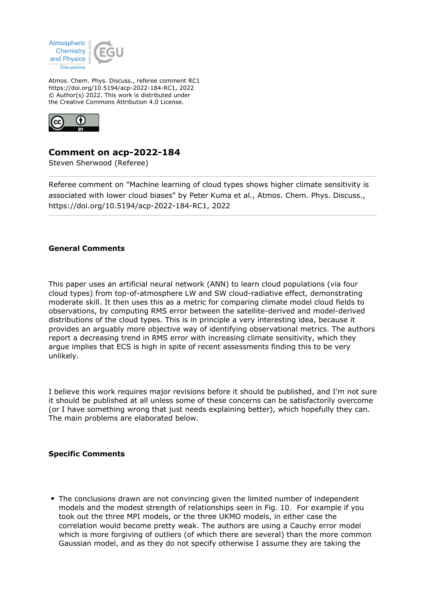

Atmos. Chem. Phys. Discuss., referee comment RC1 https://doi.org/10.5194/acp-2022-184-RC1, 2022 © Author(s) 2022. This work is distributed under the Creative Commons Attribution 4.0 License.



## **Comment on acp-2022-184**

Steven Sherwood (Referee)

Referee comment on "Machine learning of cloud types shows higher climate sensitivity is associated with lower cloud biases" by Peter Kuma et al., Atmos. Chem. Phys. Discuss., https://doi.org/10.5194/acp-2022-184-RC1, 2022

## **General Comments**

This paper uses an artificial neural network (ANN) to learn cloud populations (via four cloud types) from top-of-atmosphere LW and SW cloud-radiative effect, demonstrating moderate skill. It then uses this as a metric for comparing climate model cloud fields to observations, by computing RMS error between the satellite-derived and model-derived distributions of the cloud types. This is in principle a very interesting idea, because it provides an arguably more objective way of identifying observational metrics. The authors report a decreasing trend in RMS error with increasing climate sensitivity, which they argue implies that ECS is high in spite of recent assessments finding this to be very unlikely.

I believe this work requires major revisions before it should be published, and I'm not sure it should be published at all unless some of these concerns can be satisfactorily overcome (or I have something wrong that just needs explaining better), which hopefully they can. The main problems are elaborated below.

## **Specific Comments**

The conclusions drawn are not convincing given the limited number of independent models and the modest strength of relationships seen in Fig. 10. For example if you took out the three MPI models, or the three UKMO models, in either case the correlation would become pretty weak. The authors are using a Cauchy error model which is more forgiving of outliers (of which there are several) than the more common Gaussian model, and as they do not specify otherwise I assume they are taking the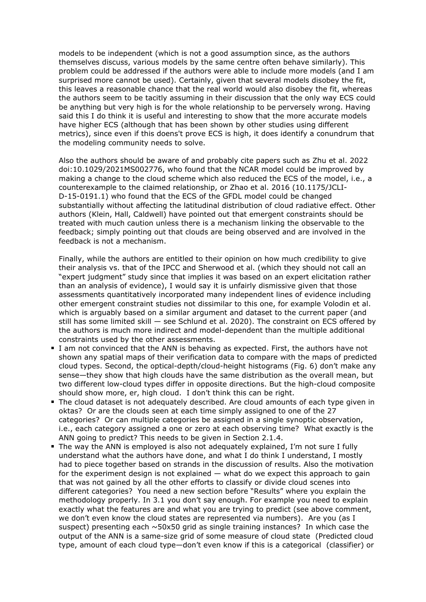models to be independent (which is not a good assumption since, as the authors themselves discuss, various models by the same centre often behave similarly). This problem could be addressed if the authors were able to include more models (and I am surprised more cannot be used). Certainly, given that several models disobey the fit, this leaves a reasonable chance that the real world would also disobey the fit, whereas the authors seem to be tacitly assuming in their discussion that the only way ECS could be anything but very high is for the whole relationship to be perversely wrong. Having said this I do think it is useful and interesting to show that the more accurate models have higher ECS (although that has been shown by other studies using different metrics), since even if this doens't prove ECS is high, it does identify a conundrum that the modeling community needs to solve.

Also the authors should be aware of and probably cite papers such as Zhu et al. 2022 doi:10.1029/2021MS002776, who found that the NCAR model could be improved by making a change to the cloud scheme which also reduced the ECS of the model, i.e., a counterexample to the claimed relationship, or Zhao et al. 2016 (10.1175/JCLI-D-15-0191.1) who found that the ECS of the GFDL model could be changed substantially without affecting the latitudinal distribution of cloud radiative effect. Other authors (Klein, Hall, Caldwell) have pointed out that emergent constraints should be treated with much caution unless there is a mechanism linking the observable to the feedback; simply pointing out that clouds are being observed and are involved in the feedback is not a mechanism.

Finally, while the authors are entitled to their opinion on how much credibility to give their analysis vs. that of the IPCC and Sherwood et al. (which they should not call an "expert judgment" study since that implies it was based on an expert elicitation rather than an analysis of evidence), I would say it is unfairly dismissive given that those assessments quantitatively incorporated many independent lines of evidence including other emergent constraint studies not dissimilar to this one, for example Volodin et al. which is arguably based on a similar argument and dataset to the current paper (and still has some limited skill — see Schlund et al. 2020). The constraint on ECS offered by the authors is much more indirect and model-dependent than the multiple additional constraints used by the other assessments.

- I am not convinced that the ANN is behaving as expected. First, the authors have not shown any spatial maps of their verification data to compare with the maps of predicted cloud types. Second, the optical-depth/cloud-height histograms (Fig. 6) don't make any sense—they show that high clouds have the same distribution as the overall mean, but two different low-cloud types differ in opposite directions. But the high-cloud composite should show more, er, high cloud. I don't think this can be right.
- The cloud dataset is not adequately described. Are cloud amounts of each type given in oktas? Or are the clouds seen at each time simply assigned to one of the 27 categories? Or can multiple categories be assigned in a single synoptic observation, i.e., each category assigned a one or zero at each observing time? What exactly is the ANN going to predict? This needs to be given in Section 2.1.4.
- The way the ANN is employed is also not adequately explained, I'm not sure I fully understand what the authors have done, and what I do think I understand, I mostly had to piece together based on strands in the discussion of results. Also the motivation for the experiment design is not explained — what do we expect this approach to gain that was not gained by all the other efforts to classify or divide cloud scenes into different categories? You need a new section before "Results" where you explain the methodology properly. In 3.1 you don't say enough. For example you need to explain exactly what the features are and what you are trying to predict (see above comment, we don't even know the cloud states are represented via numbers). Are you (as I suspect) presenting each ~50x50 grid as single training instances? In which case the output of the ANN is a same-size grid of some measure of cloud state (Predicted cloud type, amount of each cloud type—don't even know if this is a categorical (classifier) or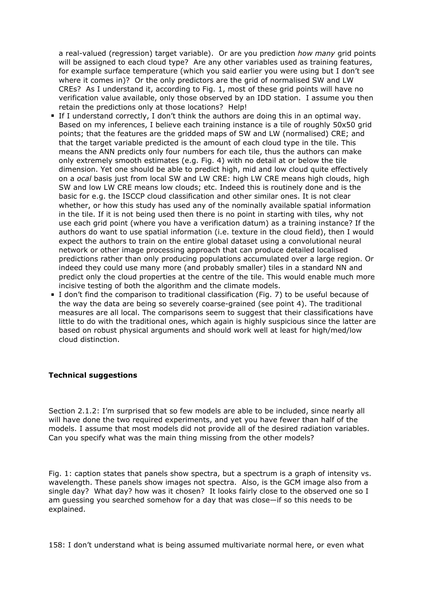a real-valued (regression) target variable). Or are you prediction *how many* grid points will be assigned to each cloud type? Are any other variables used as training features, for example surface temperature (which you said earlier you were using but I don't see where it comes in)? Or the only predictors are the grid of normalised SW and LW CREs? As I understand it, according to Fig. 1, most of these grid points will have no verification value available, only those observed by an IDD station. I assume you then retain the predictions only at those locations? Help!

- If I understand correctly, I don't think the authors are doing this in an optimal way. Based on my inferences, I believe each training instance is a tile of roughly 50x50 grid points; that the features are the gridded maps of SW and LW (normalised) CRE; and that the target variable predicted is the amount of each cloud type in the tile. This means the ANN predicts only four numbers for each tile, thus the authors can make only extremely smooth estimates (e.g. Fig. 4) with no detail at or below the tile dimension. Yet one should be able to predict high, mid and low cloud quite effectively on a *ocal* basis just from local SW and LW CRE: high LW CRE means high clouds, high SW and low LW CRE means low clouds; etc. Indeed this is routinely done and is the basic for e.g. the ISCCP cloud classification and other similar ones. It is not clear whether, or how this study has used any of the nominally available spatial information in the tile. If it is not being used then there is no point in starting with tiles, why not use each grid point (where you have a verification datum) as a training instance? If the authors do want to use spatial information (i.e. texture in the cloud field), then I would expect the authors to train on the entire global dataset using a convolutional neural network or other image processing approach that can produce detailed localised predictions rather than only producing populations accumulated over a large region. Or indeed they could use many more (and probably smaller) tiles in a standard NN and predict only the cloud properties at the centre of the tile. This would enable much more incisive testing of both the algorithm and the climate models.
- I don't find the comparison to traditional classification (Fig. 7) to be useful because of the way the data are being so severely coarse-grained (see point 4). The traditional measures are all local. The comparisons seem to suggest that their classifications have little to do with the traditional ones, which again is highly suspicious since the latter are based on robust physical arguments and should work well at least for high/med/low cloud distinction.

## **Technical suggestions**

Section 2.1.2: I'm surprised that so few models are able to be included, since nearly all will have done the two required experiments, and yet you have fewer than half of the models. I assume that most models did not provide all of the desired radiation variables. Can you specify what was the main thing missing from the other models?

Fig. 1: caption states that panels show spectra, but a spectrum is a graph of intensity vs. wavelength. These panels show images not spectra. Also, is the GCM image also from a single day? What day? how was it chosen? It looks fairly close to the observed one so I am guessing you searched somehow for a day that was close—if so this needs to be explained.

158: I don't understand what is being assumed multivariate normal here, or even what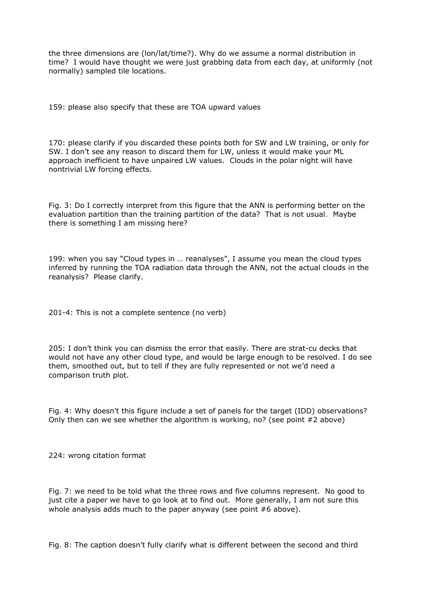the three dimensions are (lon/lat/time?). Why do we assume a normal distribution in time? I would have thought we were just grabbing data from each day, at uniformly (not normally) sampled tile locations.

159: please also specify that these are TOA upward values

170: please clarify if you discarded these points both for SW and LW training, or only for SW. I don't see any reason to discard them for LW, unless it would make your ML approach inefficient to have unpaired LW values. Clouds in the polar night will have nontrivial LW forcing effects.

Fig. 3: Do I correctly interpret from this figure that the ANN is performing better on the evaluation partition than the training partition of the data? That is not usual. Maybe there is something I am missing here?

199: when you say "Cloud types in … reanalyses", I assume you mean the cloud types inferred by running the TOA radiation data through the ANN, not the actual clouds in the reanalysis? Please clarify.

201-4: This is not a complete sentence (no verb)

205: I don't think you can dismiss the error that easily. There are strat-cu decks that would not have any other cloud type, and would be large enough to be resolved. I do see them, smoothed out, but to tell if they are fully represented or not we'd need a comparison truth plot.

Fig. 4: Why doesn't this figure include a set of panels for the target (IDD) observations? Only then can we see whether the algorithm is working, no? (see point  $#2$  above)

224: wrong citation format

Fig. 7: we need to be told what the three rows and five columns represent. No good to just cite a paper we have to go look at to find out. More generally, I am not sure this whole analysis adds much to the paper anyway (see point #6 above).

Fig. 8: The caption doesn't fully clarify what is different between the second and third